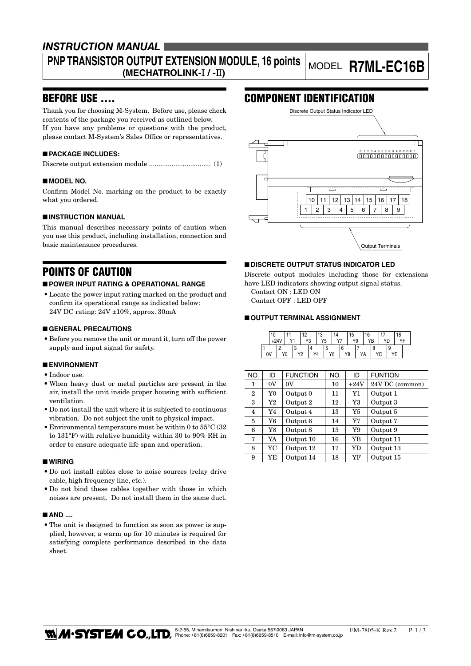# *INSTRUCTION MANUAL*

# **PNP TRANSISTOR OUTPUT EXTENSION MODULE, 16 points (MECHATROLINK-**I **/ -**II**)** MODEL **R7ML-EC16B**

### BEFORE USE ....

Thank you for choosing M-System. Before use, please check contents of the package you received as outlined below. If you have any problems or questions with the product, please contact M-System's Sales Office or representatives.

### ■ **PACKAGE INCLUDES:**

Discrete output extension module ................................. (1)

### ■ **MODEL NO.**

Confirm Model No. marking on the product to be exactly what you ordered.

### ■ **INSTRUCTION MANUAL**

This manual describes necessary points of caution when you use this product, including installation, connection and basic maintenance procedures.

# POINTS OF CAUTION

### ■ **POWER INPUT RATING & OPERATIONAL RANGE**

• Locate the power input rating marked on the product and confirm its operational range as indicated below: 24V DC rating: 24V ±10%, approx. 30mA

### ■ **GENERAL PRECAUTIONS**

• Before you remove the unit or mount it, turn off the power supply and input signal for safety.

### ■ **ENVIRONMENT**

- Indoor use.
- • When heavy dust or metal particles are present in the air, install the unit inside proper housing with sufficient ventilation.
- • Do not install the unit where it is subjected to continuous vibration. Do not subject the unit to physical impact.
- Environmental temperature must be within 0 to  $55^{\circ}$ C (32) to 131°F) with relative humidity within 30 to 90% RH in order to ensure adequate life span and operation.

### ■ **WIRING**

- • Do not install cables close to noise sources (relay drive cable, high frequency line, etc.).
- • Do not bind these cables together with those in which noises are present. Do not install them in the same duct.

### ■ **AND** ....

• The unit is designed to function as soon as power is supplied, however, a warm up for 10 minutes is required for satisfying complete performance described in the data sheet.

# COMPONENT IDENTIFICATION



### ■ **DISCRETE OUTPUT STATUS INDICATOR LED**

Discrete output modules including those for extensions have LED indicators showing output signal status.

Contact ON : LED ON Contact OFF : LED OFF

### ■ **OUTPUT TERMINAL ASSIGNMENT**

| 10 |            |                | מ ו |    | 13             |   |            | 15 |    | 16 |    |   |   | 18 |  |
|----|------------|----------------|-----|----|----------------|---|------------|----|----|----|----|---|---|----|--|
|    | $\sqrt{4}$ |                |     | Y3 | Y <sub>5</sub> |   | $\sqrt{7}$ |    | Y9 |    | YB |   |   |    |  |
|    |            |                |     |    |                | w |            |    |    |    |    |   | 9 |    |  |
| 0V | Y0         | V <sub>2</sub> |     | Y4 |                |   | Y6         | Y8 |    | YA |    | U |   |    |  |

| NO.            | ID | <b>FUNCTION</b> | NO. | ID        | <b>FUNTION</b>  |
|----------------|----|-----------------|-----|-----------|-----------------|
| 1              | 0V | $_{0V}$         | 10  | $+24V$    | 24V DC (common) |
| $\overline{2}$ | Y0 | Output 0        | 11  | Y1        | Output 1        |
| 3              | Y2 | Output 2        | 12  | Y3        | Output 3        |
| 4              | Y4 | Output 4        | 13  | Y5        | Output 5        |
| 5              | Y6 | Output 6        | 14  | Y7        | Output 7        |
| 6              | Y8 | Output 8        | 15  | Y9        | Output 9        |
| 7              | YA | Output 10       | 16  | YB        | Output 11       |
| 8              | YC | Output 12       | 17  | <b>YD</b> | Output 13       |
| 9              | YE | Output 14       | 18  | YF        | Output 15       |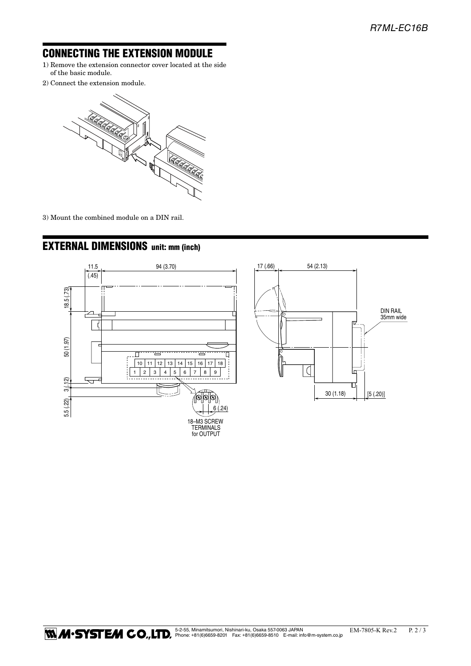# CONNECTING THE EXTENSION MODULE

- 1) Remove the extension connector cover located at the side of the basic module.
- 2) Connect the extension module.



3) Mount the combined module on a DIN rail.



# EXTERNAL DIMENSIONS unit: mm (inch)